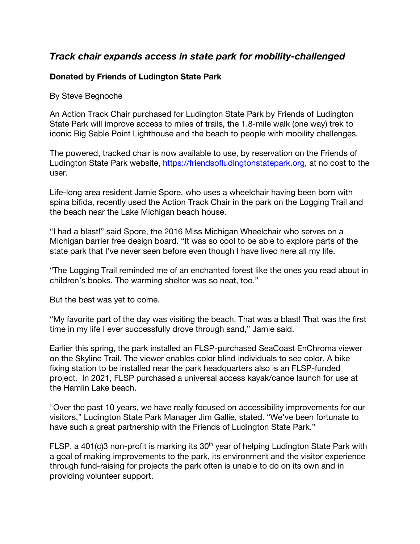## *Track chair expands access in state park for mobility-challenged*

## **Donated by Friends of Ludington State Park**

By Steve Begnoche

An Action Track Chair purchased for Ludington State Park by Friends of Ludington State Park will improve access to miles of trails, the 1.8-mile walk (one way) trek to iconic Big Sable Point Lighthouse and the beach to people with mobility challenges.

The powered, tracked chair is now available to use, by reservation on the Friends of Ludington State Park website, https://friendsofludingtonstatepark.org, at no cost to the user.

Life-long area resident Jamie Spore, who uses a wheelchair having been born with spina bifida, recently used the Action Track Chair in the park on the Logging Trail and the beach near the Lake Michigan beach house.

"I had a blast!" said Spore, the 2016 Miss Michigan Wheelchair who serves on a Michigan barrier free design board. "It was so cool to be able to explore parts of the state park that I've never seen before even though I have lived here all my life.

"The Logging Trail reminded me of an enchanted forest like the ones you read about in children's books. The warming shelter was so neat, too."

But the best was yet to come.

"My favorite part of the day was visiting the beach. That was a blast! That was the first time in my life I ever successfully drove through sand," Jamie said.

Earlier this spring, the park installed an FLSP-purchased SeaCoast EnChroma viewer on the Skyline Trail. The viewer enables color blind individuals to see color. A bike fixing station to be installed near the park headquarters also is an FLSP-funded project. In 2021, FLSP purchased a universal access kayak/canoe launch for use at the Hamlin Lake beach.

"Over the past 10 years, we have really focused on accessibility improvements for our visitors," Ludington State Park Manager Jim Gallie, stated. "We've been fortunate to have such a great partnership with the Friends of Ludington State Park."

FLSP, a 401(c)3 non-profit is marking its  $30<sup>th</sup>$  year of helping Ludington State Park with a goal of making improvements to the park, its environment and the visitor experience through fund-raising for projects the park often is unable to do on its own and in providing volunteer support.